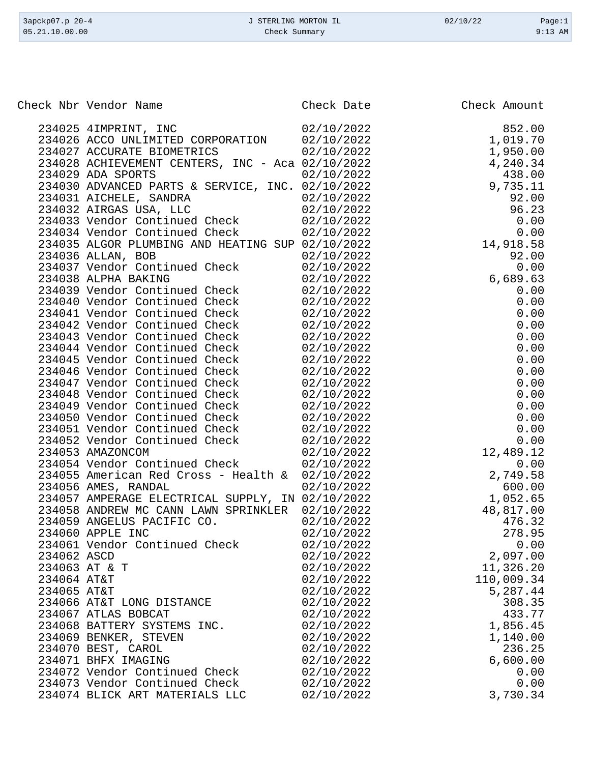| 3apckp07.p 20-4 | J STERLING MORTON IL | 02/10/22 | Page:1    |
|-----------------|----------------------|----------|-----------|
| 05.21.10.00.00  | Check Summary        |          | $9:13$ AM |
|                 |                      |          |           |

Check Nbr Vendor Name **Check Date** Check Date Check Amount

| 234025 4IMPRINT, INC                             | 02/10/2022 | 852.00     |
|--------------------------------------------------|------------|------------|
| 234026 ACCO UNLIMITED CORPORATION 02/10/2022     |            | 1,019.70   |
| 234027 ACCURATE BIOMETRICS                       | 02/10/2022 | 1,950.00   |
| 234028 ACHIEVEMENT CENTERS, INC - Aca 02/10/2022 |            | 4,240.34   |
| 234029 ADA SPORTS                                | 02/10/2022 | 438.00     |
| 234030 ADVANCED PARTS & SERVICE, INC. 02/10/2022 |            | 9,735.11   |
|                                                  |            |            |
| 234031 AICHELE, SANDRA<br>234032 AIRGAS USA, LLC | 02/10/2022 | 92.00      |
|                                                  | 02/10/2022 | 96.23      |
| 234033 Vendor Continued Check                    | 02/10/2022 | 0.00       |
| 234034 Vendor Continued Check                    | 02/10/2022 | 0.00       |
| 234035 ALGOR PLUMBING AND HEATING SUP 02/10/2022 |            | 14,918.58  |
| 234036 ALLAN, BOB                                | 02/10/2022 | 92.00      |
| 234037 Vendor Continued Check                    | 02/10/2022 | 0.00       |
| 234038 ALPHA BAKING                              | 02/10/2022 | 6,689.63   |
| 234039 Vendor Continued Check                    | 02/10/2022 | 0.00       |
| 234040 Vendor Continued Check                    | 02/10/2022 | 0.00       |
| 234041 Vendor Continued Check                    | 02/10/2022 | 0.00       |
| 234042 Vendor Continued Check                    | 02/10/2022 | 0.00       |
| 234043 Vendor Continued Check                    | 02/10/2022 | 0.00       |
| 234044 Vendor Continued Check                    | 02/10/2022 | 0.00       |
| 234045 Vendor Continued Check                    | 02/10/2022 | 0.00       |
|                                                  |            |            |
| 234046 Vendor Continued Check                    | 02/10/2022 | 0.00       |
| 234047 Vendor Continued Check                    | 02/10/2022 | 0.00       |
| 234048 Vendor Continued Check                    | 02/10/2022 | 0.00       |
| 234049 Vendor Continued Check                    | 02/10/2022 | 0.00       |
| 234050 Vendor Continued Check                    | 02/10/2022 | 0.00       |
| 234051 Vendor Continued Check                    | 02/10/2022 | 0.00       |
| 234052 Vendor Continued Check                    | 02/10/2022 | 0.00       |
| 234053 AMAZONCOM                                 | 02/10/2022 | 12,489.12  |
| 234054 Vendor Continued Check                    | 02/10/2022 | 0.00       |
| 234055 American Red Cross - Health & 02/10/2022  |            | 2,749.58   |
| 234056 AMES, RANDAL                              | 02/10/2022 | 600.00     |
| 234057 AMPERAGE ELECTRICAL SUPPLY, IN 02/10/2022 |            | 1,052.65   |
| 234058 ANDREW MC CANN LAWN SPRINKLER 02/10/2022  |            | 48,817.00  |
| 234059 ANGELUS PACIFIC CO.                       | 02/10/2022 | 476.32     |
| 234060 APPLE INC                                 | 02/10/2022 | 278.95     |
| 234061 Vendor Continued Check                    | 02/10/2022 | 0.00       |
| 234062 ASCD                                      | 02/10/2022 | 2,097.00   |
|                                                  |            | 11,326.20  |
| 234063 AT & T                                    | 02/10/2022 |            |
| 234064 AT&T                                      | 02/10/2022 | 110,009.34 |
| 234065 AT&T                                      | 02/10/2022 | 5,287.44   |
| 234066 AT&T LONG DISTANCE                        | 02/10/2022 | 308.35     |
| 234067 ATLAS BOBCAT                              | 02/10/2022 | 433.77     |
| 234068 BATTERY SYSTEMS INC.                      | 02/10/2022 | 1,856.45   |
| 234069 BENKER, STEVEN                            | 02/10/2022 | 1,140.00   |
| 234070 BEST, CAROL                               | 02/10/2022 | 236.25     |
| 234071 BHFX IMAGING                              | 02/10/2022 | 6,600.00   |
| 234072 Vendor Continued Check                    | 02/10/2022 | 0.00       |
| 234073 Vendor Continued Check                    | 02/10/2022 | 0.00       |
| 234074 BLICK ART MATERIALS LLC                   | 02/10/2022 | 3,730.34   |
|                                                  |            |            |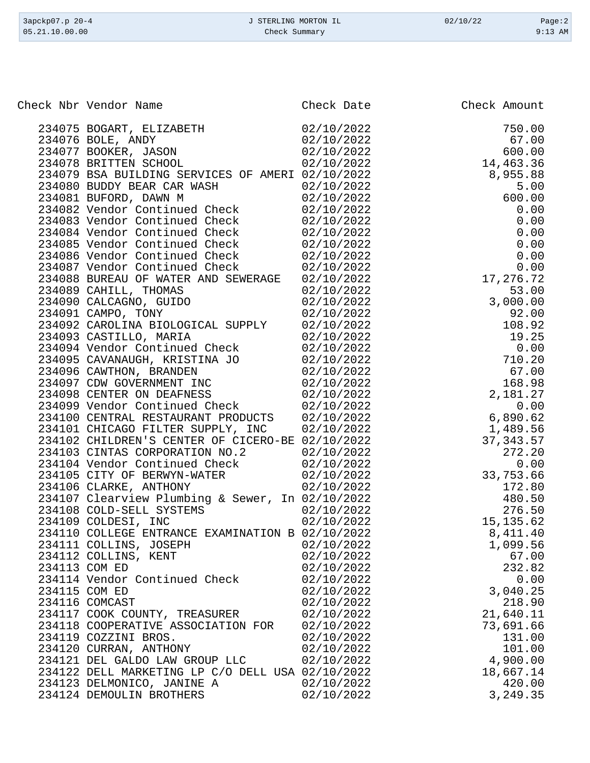| 3apckp07.p 20-4 | J STERLING MORTON IL | 02/10/22 | Page:2    |
|-----------------|----------------------|----------|-----------|
| 05.21.10.00.00  | Check Summary        |          | $9:13$ AM |
|                 |                      |          |           |

Check Nbr Vendor Name **Check Date** Check Date Check Amount

| 234112 COLLINS, KENT                             | 02/10/2022 | 67.00     |
|--------------------------------------------------|------------|-----------|
| 234113 COM ED                                    | 02/10/2022 | 232.82    |
| 234114 Vendor Continued Check                    | 02/10/2022 | 0.00      |
| 234115 COM ED                                    | 02/10/2022 | 3,040.25  |
| 234116 COMCAST                                   | 02/10/2022 | 218.90    |
| 234117 COOK COUNTY, TREASURER                    | 02/10/2022 | 21,640.11 |
| 234118 COOPERATIVE ASSOCIATION FOR               | 02/10/2022 | 73,691.66 |
| 234119 COZZINI BROS.                             | 02/10/2022 | 131.00    |
|                                                  |            |           |
| 234120 CURRAN, ANTHONY                           | 02/10/2022 | 101.00    |
| 234121 DEL GALDO LAW GROUP LLC                   | 02/10/2022 | 4,900.00  |
| 234122 DELL MARKETING LP C/O DELL USA 02/10/2022 |            | 18,667.14 |
| 234123 DELMONICO, JANINE A                       | 02/10/2022 | 420.00    |
| 234124 DEMOULIN BROTHERS                         | 02/10/2022 | 3,249.35  |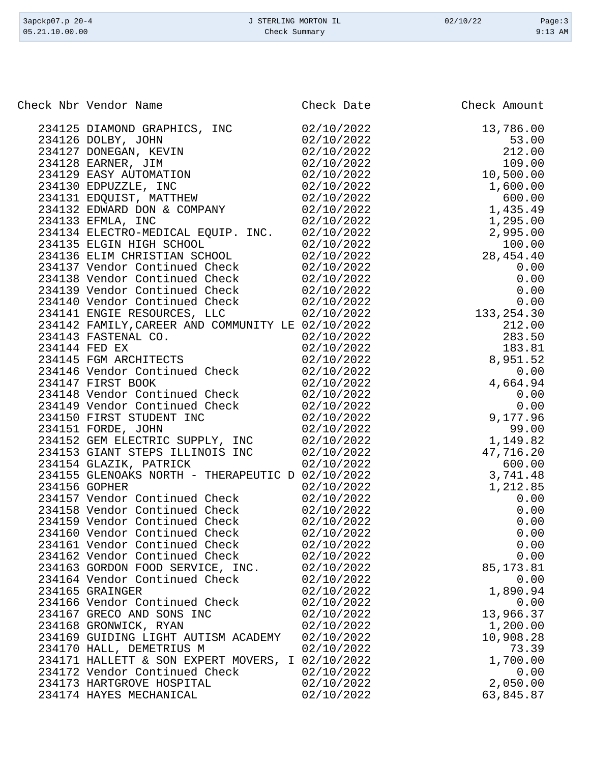| 3apckp07.p 20-4 | J STERLING MORTON IL | 02/10/22 | Page:3    |
|-----------------|----------------------|----------|-----------|
| 05.21.10.00.00  | Check Summary        |          | $9:13$ AM |

| Check Nbr Vendor Name                                                                                               | Check Date               | Check Amount                                                                                                                                                                                                                                                                                                     |
|---------------------------------------------------------------------------------------------------------------------|--------------------------|------------------------------------------------------------------------------------------------------------------------------------------------------------------------------------------------------------------------------------------------------------------------------------------------------------------|
| 234125 DIAMOND GRAPHICS, INC<br>234126 DOLBY, JOHN                                                                  | 02/10/2022<br>02/10/2022 | 13,786.00<br>53.00                                                                                                                                                                                                                                                                                               |
|                                                                                                                     | 02/10/2022               | 212.00                                                                                                                                                                                                                                                                                                           |
| 234126 DOLBY, JOHN<br>234127 DONEGAN, KEVIN<br>234128 EARNER, JIM<br>234129 EASY AUTOMATION<br>234130 EDPUZZLE, INC | 02/10/2022               | 109.00                                                                                                                                                                                                                                                                                                           |
|                                                                                                                     | 02/10/2022               | 10,500.00                                                                                                                                                                                                                                                                                                        |
|                                                                                                                     | 02/10/2022               |                                                                                                                                                                                                                                                                                                                  |
| 234131 EDQUIST, MATTHEW                                                                                             | 02/10/2022               |                                                                                                                                                                                                                                                                                                                  |
| 234131 EDQUIST, MAIIREW<br>234132 EDWARD DON & COMPANY                                                              | 02/10/2022               |                                                                                                                                                                                                                                                                                                                  |
|                                                                                                                     | 02/10/2022               |                                                                                                                                                                                                                                                                                                                  |
| 234134 ELECTRO-MEDICAL EQUIP. INC. 02/10/2022                                                                       |                          |                                                                                                                                                                                                                                                                                                                  |
| 234135 ELGIN HIGH SCHOOL                                                                                            | 02/10/2022               |                                                                                                                                                                                                                                                                                                                  |
| 234136 ELIM CHRISTIAN SCHOOL                                                                                        | 02/10/2022               |                                                                                                                                                                                                                                                                                                                  |
| 234137 Vendor Continued Check                                                                                       | 02/10/2022               | $10,500.00$<br>$1,600.00$<br>$600.00$<br>$1,435.49$<br>$1,295.00$<br>$2,995.00$<br>$100.00$<br>$28,454.40$<br>$0.00$<br>$0.00$<br>$0.00$<br>$0.00$<br>$0.00$<br>$0.00$<br>$0.00$<br>$0.00$<br>$0.00$<br>$0.00$                                                                                                   |
| 234138 Vendor Continued Check 02/10/2022                                                                            |                          |                                                                                                                                                                                                                                                                                                                  |
| 234139 Vendor Continued Check 02/10/2022                                                                            |                          |                                                                                                                                                                                                                                                                                                                  |
| 234140 Vendor Continued Check 02/10/2022                                                                            |                          |                                                                                                                                                                                                                                                                                                                  |
| 234141 ENGIE RESOURCES, LLC                                                                                         | 02/10/2022               |                                                                                                                                                                                                                                                                                                                  |
| 234142 FAMILY, CAREER AND COMMUNITY LE 02/10/2022                                                                   |                          | $\begin{array}{r} 2212.00 \\ 212.00 \\ 283.50 \\ 183.81 \\ 8,951.52 \end{array}$                                                                                                                                                                                                                                 |
| 234142 FAMILI, CARRIEL<br>234143 FASTENAL CO.                                                                       | 02/10/2022               |                                                                                                                                                                                                                                                                                                                  |
| 234144 FED EX                                                                                                       | 02/10/2022               |                                                                                                                                                                                                                                                                                                                  |
| 234145 FGM ARCHITECTS                                                                                               | 02/10/2022               |                                                                                                                                                                                                                                                                                                                  |
| 234146 Vendor Continued Check                                                                                       | 02/10/2022               |                                                                                                                                                                                                                                                                                                                  |
| 234147 FIRST BOOK                                                                                                   | 02/10/2022               |                                                                                                                                                                                                                                                                                                                  |
| 234148 Vendor Continued Check                                                                                       | 02/10/2022               |                                                                                                                                                                                                                                                                                                                  |
| 234149 Vendor Continued Check<br>234150 FIRST STUDENT INC                                                           | 02/10/2022               |                                                                                                                                                                                                                                                                                                                  |
|                                                                                                                     | 02/10/2022               |                                                                                                                                                                                                                                                                                                                  |
| 234151 FORDE, JOHN                                                                                                  | 02/10/2022               | $\begin{array}{cccc} & .2 & & & 4\, , 66\, \\ & .2 & & & 0\, . \cup \\ & J22 & & & 0\, .00 \\ & 2022 & & & 9\, , 177\, .96\, \\ & ./2022 & & & 99\, .7 \\ & .0/2022 & & & 1\, , 149\, \\ & ./10/2022 & & & 47\, , 71\, \\ & .2/10/2022 & & & 3\, \\ & ~ ^20/2022 & & & 3\, \\ & ~ ^2022 & & & & 3\, \end{array}$ |
| 234152 GEM ELECTRIC SUPPLY, INC                                                                                     | 02/10/2022               |                                                                                                                                                                                                                                                                                                                  |
| 234153 GIANT STEPS ILLINOIS INC                                                                                     | 02/10/2022               |                                                                                                                                                                                                                                                                                                                  |
| 234154 GLAZIK, PATRICK                                                                                              | 02/10/2022               |                                                                                                                                                                                                                                                                                                                  |
| 234155 GLENOAKS NORTH - THERAPEUTIC D 02/10/2022                                                                    |                          |                                                                                                                                                                                                                                                                                                                  |
| 234156 GOPHER                                                                                                       | 02/10/2022               |                                                                                                                                                                                                                                                                                                                  |
| 234157 Vendor Continued Check                                                                                       | 02/10/2022               |                                                                                                                                                                                                                                                                                                                  |
| 234158 Vendor Continued Check                                                                                       | 02/10/2022               |                                                                                                                                                                                                                                                                                                                  |
| 234159 Vendor Continued Check                                                                                       | 02/10/2022               |                                                                                                                                                                                                                                                                                                                  |
| 234160 Vendor Continued Check                                                                                       | 02/10/2022               |                                                                                                                                                                                                                                                                                                                  |
| 234161 Vendor Continued Check                                                                                       | 02/10/2022               | 0.00                                                                                                                                                                                                                                                                                                             |
| 234162 Vendor Continued Check                                                                                       | 02/10/2022               | 0.00                                                                                                                                                                                                                                                                                                             |
| 234163 GORDON FOOD SERVICE, INC.                                                                                    | 02/10/2022               | 85, 173.81                                                                                                                                                                                                                                                                                                       |
| 234164 Vendor Continued Check                                                                                       | 02/10/2022               | 0.00                                                                                                                                                                                                                                                                                                             |
| 234165 GRAINGER                                                                                                     | 02/10/2022               | 1,890.94                                                                                                                                                                                                                                                                                                         |
| 234166 Vendor Continued Check                                                                                       | 02/10/2022               | 0.00                                                                                                                                                                                                                                                                                                             |
| 234167 GRECO AND SONS INC                                                                                           | 02/10/2022               | 13,966.37                                                                                                                                                                                                                                                                                                        |
| 234168 GRONWICK, RYAN                                                                                               | 02/10/2022               | 1,200.00                                                                                                                                                                                                                                                                                                         |
| 234169 GUIDING LIGHT AUTISM ACADEMY                                                                                 | 02/10/2022               | 10,908.28                                                                                                                                                                                                                                                                                                        |
| 234170 HALL, DEMETRIUS M                                                                                            | 02/10/2022               | 73.39                                                                                                                                                                                                                                                                                                            |
| 234171 HALLETT & SON EXPERT MOVERS, I 02/10/2022                                                                    |                          | 1,700.00                                                                                                                                                                                                                                                                                                         |
| 234172 Vendor Continued Check                                                                                       | 02/10/2022               | 0.00                                                                                                                                                                                                                                                                                                             |
| 234173 HARTGROVE HOSPITAL                                                                                           | 02/10/2022               | 2,050.00                                                                                                                                                                                                                                                                                                         |
| 234174 HAYES MECHANICAL                                                                                             | 02/10/2022               | 63,845.87                                                                                                                                                                                                                                                                                                        |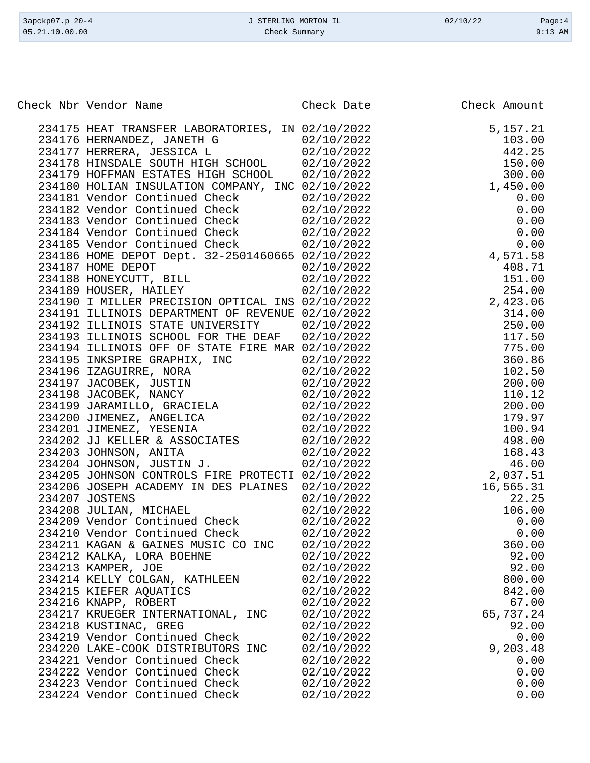| Check Nbr Vendor Name                                                                                                                                                           | Check Date               | Check Amount     |
|---------------------------------------------------------------------------------------------------------------------------------------------------------------------------------|--------------------------|------------------|
|                                                                                                                                                                                 |                          |                  |
| 234175 HEAT TRANSFER LABORATORIES, IN 02/10/2022                                                                                                                                |                          | 5, 157. 21       |
|                                                                                                                                                                                 |                          | 103.00           |
| 234176 HERNANDEZ, JANETH G $02/10/2022$<br>234177 HERRERA, JESSICA L $02/10/2022$<br>234178 HINSDALE SOUTH HIGH SCHOOL 02/10/2022                                               |                          | 442.25           |
|                                                                                                                                                                                 |                          | 150.00           |
| 234179 HOFFMAN ESTATES HIGH SCHOOL 02/10/2022                                                                                                                                   |                          | 300.00           |
| 234180 HOLIAN INSULATION COMPANY, INC 02/10/2022                                                                                                                                |                          | 1,450.00         |
| 234181 Vendor Continued Check 02/10/2022                                                                                                                                        |                          | 0.00             |
|                                                                                                                                                                                 |                          | 0.00             |
| 234182 Vendor Continued Check<br>234183 Vendor Continued Check<br>234184 Vendor Continued Check<br>234184 Vendor Continued Check<br>234185 Vendor Continued Check<br>22/10/2022 |                          | 0.00<br>0.00     |
|                                                                                                                                                                                 |                          | 0.00             |
| 234186 HOME DEPOT Dept. 32-2501460665 02/10/2022                                                                                                                                | 02/10/2022               | 4,571.58         |
|                                                                                                                                                                                 | 02/10/2022               | 408.71           |
|                                                                                                                                                                                 | 02/10/2022               | 151.00           |
| 234187 HOME DEPOT<br>234188 HONEYCUTT, BILL<br>234189 HOUSER, HAILEY                                                                                                            | 02/10/2022               | 254.00           |
| 234190 I MILLER PRECISION OPTICAL INS 02/10/2022                                                                                                                                |                          | 2,423.06         |
| 234191 ILLINOIS DEPARTMENT OF REVENUE 02/10/2022                                                                                                                                |                          | 314.00           |
| 234192 ILLINOIS STATE UNIVERSITY                                                                                                                                                | 02/10/2022               | 250.00           |
| 234193 ILLINOIS SCHOOL FOR THE DEAF                                                                                                                                             | 02/10/2022               | 117.50           |
| 234194 ILLINOIS OFF OF STATE FIRE MAR 02/10/2022                                                                                                                                |                          | 775.00           |
|                                                                                                                                                                                 | 02/10/2022               | 360.86           |
| 234195 INKSPIRE GRAPHIX, INC<br>234196 IZAGUIRRE, NORA                                                                                                                          | 02/10/2022               | 102.50           |
| 234197 JACOBEK, JUSTIN                                                                                                                                                          | 02/10/2022               | 200.00           |
|                                                                                                                                                                                 |                          | 110.12           |
| 23113, SACOBER, NANCY<br>234198 JACOBER, NANCY<br>234199 JARAMILLO, GRACIELA (2/10/2022)                                                                                        |                          | 200.00           |
| 234200 JIMENEZ, ANGELICA 02/10/2022                                                                                                                                             |                          | 179.97           |
| 234201 JIMENEZ, YESENIA                                                                                                                                                         | 02/10/2022               | 100.94           |
| 234202 JJ KELLER & ASSOCIATES 02/10/2022<br>234203 JOHNSON, ANITA 02/10/2022                                                                                                    |                          | 498.00           |
|                                                                                                                                                                                 | 02/10/2022               | 168.43           |
| 234204 JOHNSON, JUSTIN J.                                                                                                                                                       | 02/10/2022               | 46.00            |
| 234205 JOHNSON CONTROLS FIRE PROTECTI 02/10/2022                                                                                                                                |                          | 2,037.51         |
| 234206 JOSEPH ACADEMY IN DES PLAINES 02/10/2022                                                                                                                                 |                          | 16,565.31        |
| 234207 JOSTENS                                                                                                                                                                  | 02/10/2022               | 22.25            |
| 234208 JULIAN, MICHAEL                                                                                                                                                          | 02/10/2022               | 106.00           |
| 234209 Vendor Continued Check                                                                                                                                                   | 02/10/2022               | 0.00             |
| 234210 Vendor Continued Check                                                                                                                                                   | 02/10/2022               | 0.00             |
| 234211 KAGAN & GAINES MUSIC CO INC                                                                                                                                              | 02/10/2022               | 360.00           |
| 234212 KALKA, LORA BOEHNE                                                                                                                                                       | 02/10/2022               | 92.00            |
| 234213 KAMPER, JOE                                                                                                                                                              | 02/10/2022               | 92.00            |
| 234214 KELLY COLGAN, KATHLEEN                                                                                                                                                   | 02/10/2022               | 800.00           |
| 234215 KIEFER AQUATICS                                                                                                                                                          | 02/10/2022               | 842.00           |
| 234216 KNAPP, ROBERT                                                                                                                                                            | 02/10/2022               | 67.00            |
| 234217 KRUEGER INTERNATIONAL, INC                                                                                                                                               | 02/10/2022               | 65,737.24        |
| 234218 KUSTINAC, GREG                                                                                                                                                           | 02/10/2022<br>02/10/2022 | 92.00            |
| 234219 Vendor Continued Check<br>234220 LAKE-COOK DISTRIBUTORS INC                                                                                                              | 02/10/2022               | 0.00<br>9,203.48 |
| 234221 Vendor Continued Check                                                                                                                                                   | 02/10/2022               | 0.00             |
| 234222 Vendor Continued Check                                                                                                                                                   | 02/10/2022               | 0.00             |
| 234223 Vendor Continued Check                                                                                                                                                   | 02/10/2022               | 0.00             |
| 234224 Vendor Continued Check                                                                                                                                                   | 02/10/2022               | 0.00             |
|                                                                                                                                                                                 |                          |                  |

3apckp07.p 20-4 <br>
3apckp07.p 20-4 <br>
33 AM
33 Deck Summary Check Summary 19:13 AM
33 Deck Summary Check Summary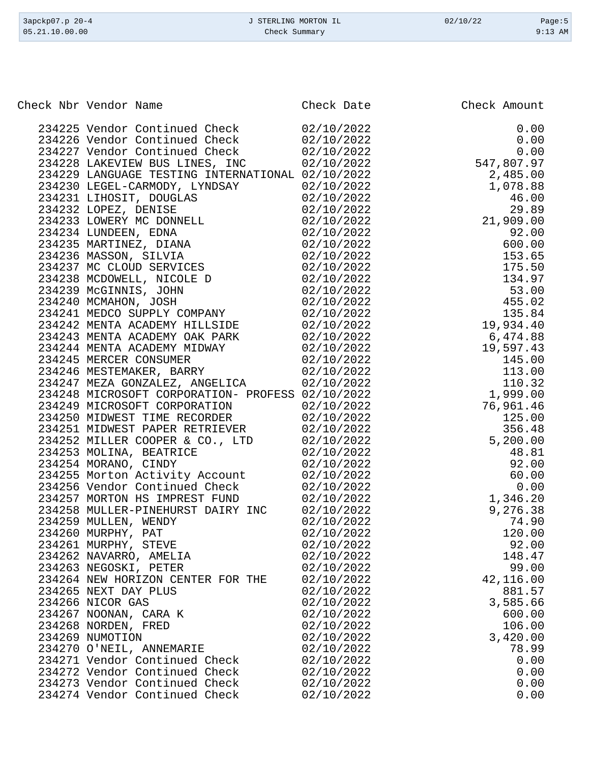| Check Nbr Vendor Name<br>Check Date<br>Check Amount<br>234225 Vendor Continued Check 02/10/2022<br>0.00<br>$0.00$<br>0.00<br>0.00<br>547,807.97<br>234226 Vendor Continued Check 02/10/2022<br>234227 Vendor Continued Check 02/10/2022<br>234228 LAKEVIEW BUS LINES, INC<br>02/10/2022<br>$2,485.00$<br>1,078.88<br>46.00<br>29.89<br>21,909.00<br>234229 LANGUAGE TESTING INTERNATIONAL 02/10/2022<br>234230 LEGEL-CARMODY, LYNDSAY<br>02/10/2022<br>234231 LIHOSIT, DOUGLAS<br>02/10/2022<br>234232 LOPEZ, DENISE<br>02/10/2022<br>234233 LOWERY MC DONNELL 02/10/2022<br>02/10/2022<br>234234 LUNDEEN, EDNA<br>92.00<br>234235 MARTINEZ, DIANA 02/10/2022<br>600.00<br>234236 MASSON, SILVIA<br>02/10/2022<br>153.65<br>234237 MC CLOUD SERVICES 02/10/2022<br>175.50<br>234238 MCDOWELL, NICOLE D 02/10/2022<br>134.97<br>02/10/2022<br>234239 McGINNIS, JOHN<br>$53.00$<br>$455.02$<br>234240 MCMAHON, JOSH<br>02/10/2022<br>234241 MEDCO SUPPLY COMPANY 02/10/2022<br>135.84<br>19,934.40<br>234242 MENTA ACADEMY HILLSIDE 02/10/2022<br>234243 MENTA ACADEMY OAK PARK 02/10/2022<br>6,474.88<br>234244 MENTA ACADEMY MIDWAY<br>02/10/2022<br>19,597.43<br>$145.00$<br>$113.00$<br>$110.32$<br>$1,999.00$<br>234245 MERCER CONSUMER<br>02/10/2022<br>234246 MESTEMAKER, BARRY<br>02/10/2022<br>234247 MEZA GONZALEZ, ANGELICA<br>02/10/2022<br>234248 MICROSOFT CORPORATION- PROFESS 02/10/2022<br>234249 MICROSOFT CORPORATION<br>02/10/2022<br>76,961.46<br>234250 MIDWEST TIME RECORDER 02/10/2022<br>125.00<br>234251 MIDWEST PAPER RETRIEVER 02/10/2022<br>356.48<br>5,200.00<br>234252 MILLER COOPER & CO., LTD 02/10/2022<br>234253 MOLINA, BEATRICE<br>02/10/2022<br>48.81<br>234254 MORANO, CINDY<br>02/10/2022<br>92.00<br>234255 Morton Activity Account<br>02/10/2022<br>60.00<br>234256 Vendor Continued Check<br>02/10/2022<br>0.00<br>234257 MORTON HS IMPREST FUND<br>1,346.20<br>02/10/2022<br>9,276.38<br>234258 MULLER-PINEHURST DAIRY INC<br>02/10/2022<br>234259 MULLEN, WENDY<br>02/10/2022<br>74.90<br>234260 MURPHY, PAT<br>120.00<br>02/10/2022<br>234261 MURPHY, STEVE<br>92.00<br>02/10/2022<br>234262 NAVARRO, AMELIA<br>02/10/2022<br>148.47<br>234263 NEGOSKI, PETER<br>99.00<br>02/10/2022<br>42,116.00<br>234264 NEW HORIZON CENTER FOR THE<br>02/10/2022<br>234265 NEXT DAY PLUS<br>02/10/2022<br>881.57<br>234266 NICOR GAS<br>3,585.66<br>02/10/2022<br>234267 NOONAN, CARA K<br>02/10/2022<br>600.00<br>234268 NORDEN, FRED<br>02/10/2022<br>106.00<br>234269 NUMOTION<br>3,420.00<br>02/10/2022<br>234270 O'NEIL, ANNEMARIE<br>02/10/2022<br>78.99<br>234271 Vendor Continued Check<br>02/10/2022<br>0.00<br>234272 Vendor Continued Check<br>02/10/2022<br>0.00<br>234273 Vendor Continued Check<br>0.00<br>02/10/2022<br>234274 Vendor Continued Check<br>0.00<br>02/10/2022 |  |  |
|----------------------------------------------------------------------------------------------------------------------------------------------------------------------------------------------------------------------------------------------------------------------------------------------------------------------------------------------------------------------------------------------------------------------------------------------------------------------------------------------------------------------------------------------------------------------------------------------------------------------------------------------------------------------------------------------------------------------------------------------------------------------------------------------------------------------------------------------------------------------------------------------------------------------------------------------------------------------------------------------------------------------------------------------------------------------------------------------------------------------------------------------------------------------------------------------------------------------------------------------------------------------------------------------------------------------------------------------------------------------------------------------------------------------------------------------------------------------------------------------------------------------------------------------------------------------------------------------------------------------------------------------------------------------------------------------------------------------------------------------------------------------------------------------------------------------------------------------------------------------------------------------------------------------------------------------------------------------------------------------------------------------------------------------------------------------------------------------------------------------------------------------------------------------------------------------------------------------------------------------------------------------------------------------------------------------------------------------------------------------------------------------------------------------------------------------------------------------------------------------------------------------------------------------------------------------------------------------------------------------------------------------------------------------------------------------------------------------------------------------------------------------------------------------------------------------------|--|--|
|                                                                                                                                                                                                                                                                                                                                                                                                                                                                                                                                                                                                                                                                                                                                                                                                                                                                                                                                                                                                                                                                                                                                                                                                                                                                                                                                                                                                                                                                                                                                                                                                                                                                                                                                                                                                                                                                                                                                                                                                                                                                                                                                                                                                                                                                                                                                                                                                                                                                                                                                                                                                                                                                                                                                                                                                                            |  |  |
|                                                                                                                                                                                                                                                                                                                                                                                                                                                                                                                                                                                                                                                                                                                                                                                                                                                                                                                                                                                                                                                                                                                                                                                                                                                                                                                                                                                                                                                                                                                                                                                                                                                                                                                                                                                                                                                                                                                                                                                                                                                                                                                                                                                                                                                                                                                                                                                                                                                                                                                                                                                                                                                                                                                                                                                                                            |  |  |
|                                                                                                                                                                                                                                                                                                                                                                                                                                                                                                                                                                                                                                                                                                                                                                                                                                                                                                                                                                                                                                                                                                                                                                                                                                                                                                                                                                                                                                                                                                                                                                                                                                                                                                                                                                                                                                                                                                                                                                                                                                                                                                                                                                                                                                                                                                                                                                                                                                                                                                                                                                                                                                                                                                                                                                                                                            |  |  |
|                                                                                                                                                                                                                                                                                                                                                                                                                                                                                                                                                                                                                                                                                                                                                                                                                                                                                                                                                                                                                                                                                                                                                                                                                                                                                                                                                                                                                                                                                                                                                                                                                                                                                                                                                                                                                                                                                                                                                                                                                                                                                                                                                                                                                                                                                                                                                                                                                                                                                                                                                                                                                                                                                                                                                                                                                            |  |  |
|                                                                                                                                                                                                                                                                                                                                                                                                                                                                                                                                                                                                                                                                                                                                                                                                                                                                                                                                                                                                                                                                                                                                                                                                                                                                                                                                                                                                                                                                                                                                                                                                                                                                                                                                                                                                                                                                                                                                                                                                                                                                                                                                                                                                                                                                                                                                                                                                                                                                                                                                                                                                                                                                                                                                                                                                                            |  |  |
|                                                                                                                                                                                                                                                                                                                                                                                                                                                                                                                                                                                                                                                                                                                                                                                                                                                                                                                                                                                                                                                                                                                                                                                                                                                                                                                                                                                                                                                                                                                                                                                                                                                                                                                                                                                                                                                                                                                                                                                                                                                                                                                                                                                                                                                                                                                                                                                                                                                                                                                                                                                                                                                                                                                                                                                                                            |  |  |
|                                                                                                                                                                                                                                                                                                                                                                                                                                                                                                                                                                                                                                                                                                                                                                                                                                                                                                                                                                                                                                                                                                                                                                                                                                                                                                                                                                                                                                                                                                                                                                                                                                                                                                                                                                                                                                                                                                                                                                                                                                                                                                                                                                                                                                                                                                                                                                                                                                                                                                                                                                                                                                                                                                                                                                                                                            |  |  |
|                                                                                                                                                                                                                                                                                                                                                                                                                                                                                                                                                                                                                                                                                                                                                                                                                                                                                                                                                                                                                                                                                                                                                                                                                                                                                                                                                                                                                                                                                                                                                                                                                                                                                                                                                                                                                                                                                                                                                                                                                                                                                                                                                                                                                                                                                                                                                                                                                                                                                                                                                                                                                                                                                                                                                                                                                            |  |  |
|                                                                                                                                                                                                                                                                                                                                                                                                                                                                                                                                                                                                                                                                                                                                                                                                                                                                                                                                                                                                                                                                                                                                                                                                                                                                                                                                                                                                                                                                                                                                                                                                                                                                                                                                                                                                                                                                                                                                                                                                                                                                                                                                                                                                                                                                                                                                                                                                                                                                                                                                                                                                                                                                                                                                                                                                                            |  |  |
|                                                                                                                                                                                                                                                                                                                                                                                                                                                                                                                                                                                                                                                                                                                                                                                                                                                                                                                                                                                                                                                                                                                                                                                                                                                                                                                                                                                                                                                                                                                                                                                                                                                                                                                                                                                                                                                                                                                                                                                                                                                                                                                                                                                                                                                                                                                                                                                                                                                                                                                                                                                                                                                                                                                                                                                                                            |  |  |
|                                                                                                                                                                                                                                                                                                                                                                                                                                                                                                                                                                                                                                                                                                                                                                                                                                                                                                                                                                                                                                                                                                                                                                                                                                                                                                                                                                                                                                                                                                                                                                                                                                                                                                                                                                                                                                                                                                                                                                                                                                                                                                                                                                                                                                                                                                                                                                                                                                                                                                                                                                                                                                                                                                                                                                                                                            |  |  |
|                                                                                                                                                                                                                                                                                                                                                                                                                                                                                                                                                                                                                                                                                                                                                                                                                                                                                                                                                                                                                                                                                                                                                                                                                                                                                                                                                                                                                                                                                                                                                                                                                                                                                                                                                                                                                                                                                                                                                                                                                                                                                                                                                                                                                                                                                                                                                                                                                                                                                                                                                                                                                                                                                                                                                                                                                            |  |  |
|                                                                                                                                                                                                                                                                                                                                                                                                                                                                                                                                                                                                                                                                                                                                                                                                                                                                                                                                                                                                                                                                                                                                                                                                                                                                                                                                                                                                                                                                                                                                                                                                                                                                                                                                                                                                                                                                                                                                                                                                                                                                                                                                                                                                                                                                                                                                                                                                                                                                                                                                                                                                                                                                                                                                                                                                                            |  |  |
|                                                                                                                                                                                                                                                                                                                                                                                                                                                                                                                                                                                                                                                                                                                                                                                                                                                                                                                                                                                                                                                                                                                                                                                                                                                                                                                                                                                                                                                                                                                                                                                                                                                                                                                                                                                                                                                                                                                                                                                                                                                                                                                                                                                                                                                                                                                                                                                                                                                                                                                                                                                                                                                                                                                                                                                                                            |  |  |
|                                                                                                                                                                                                                                                                                                                                                                                                                                                                                                                                                                                                                                                                                                                                                                                                                                                                                                                                                                                                                                                                                                                                                                                                                                                                                                                                                                                                                                                                                                                                                                                                                                                                                                                                                                                                                                                                                                                                                                                                                                                                                                                                                                                                                                                                                                                                                                                                                                                                                                                                                                                                                                                                                                                                                                                                                            |  |  |
|                                                                                                                                                                                                                                                                                                                                                                                                                                                                                                                                                                                                                                                                                                                                                                                                                                                                                                                                                                                                                                                                                                                                                                                                                                                                                                                                                                                                                                                                                                                                                                                                                                                                                                                                                                                                                                                                                                                                                                                                                                                                                                                                                                                                                                                                                                                                                                                                                                                                                                                                                                                                                                                                                                                                                                                                                            |  |  |
|                                                                                                                                                                                                                                                                                                                                                                                                                                                                                                                                                                                                                                                                                                                                                                                                                                                                                                                                                                                                                                                                                                                                                                                                                                                                                                                                                                                                                                                                                                                                                                                                                                                                                                                                                                                                                                                                                                                                                                                                                                                                                                                                                                                                                                                                                                                                                                                                                                                                                                                                                                                                                                                                                                                                                                                                                            |  |  |
|                                                                                                                                                                                                                                                                                                                                                                                                                                                                                                                                                                                                                                                                                                                                                                                                                                                                                                                                                                                                                                                                                                                                                                                                                                                                                                                                                                                                                                                                                                                                                                                                                                                                                                                                                                                                                                                                                                                                                                                                                                                                                                                                                                                                                                                                                                                                                                                                                                                                                                                                                                                                                                                                                                                                                                                                                            |  |  |
|                                                                                                                                                                                                                                                                                                                                                                                                                                                                                                                                                                                                                                                                                                                                                                                                                                                                                                                                                                                                                                                                                                                                                                                                                                                                                                                                                                                                                                                                                                                                                                                                                                                                                                                                                                                                                                                                                                                                                                                                                                                                                                                                                                                                                                                                                                                                                                                                                                                                                                                                                                                                                                                                                                                                                                                                                            |  |  |
|                                                                                                                                                                                                                                                                                                                                                                                                                                                                                                                                                                                                                                                                                                                                                                                                                                                                                                                                                                                                                                                                                                                                                                                                                                                                                                                                                                                                                                                                                                                                                                                                                                                                                                                                                                                                                                                                                                                                                                                                                                                                                                                                                                                                                                                                                                                                                                                                                                                                                                                                                                                                                                                                                                                                                                                                                            |  |  |
|                                                                                                                                                                                                                                                                                                                                                                                                                                                                                                                                                                                                                                                                                                                                                                                                                                                                                                                                                                                                                                                                                                                                                                                                                                                                                                                                                                                                                                                                                                                                                                                                                                                                                                                                                                                                                                                                                                                                                                                                                                                                                                                                                                                                                                                                                                                                                                                                                                                                                                                                                                                                                                                                                                                                                                                                                            |  |  |
|                                                                                                                                                                                                                                                                                                                                                                                                                                                                                                                                                                                                                                                                                                                                                                                                                                                                                                                                                                                                                                                                                                                                                                                                                                                                                                                                                                                                                                                                                                                                                                                                                                                                                                                                                                                                                                                                                                                                                                                                                                                                                                                                                                                                                                                                                                                                                                                                                                                                                                                                                                                                                                                                                                                                                                                                                            |  |  |
|                                                                                                                                                                                                                                                                                                                                                                                                                                                                                                                                                                                                                                                                                                                                                                                                                                                                                                                                                                                                                                                                                                                                                                                                                                                                                                                                                                                                                                                                                                                                                                                                                                                                                                                                                                                                                                                                                                                                                                                                                                                                                                                                                                                                                                                                                                                                                                                                                                                                                                                                                                                                                                                                                                                                                                                                                            |  |  |
|                                                                                                                                                                                                                                                                                                                                                                                                                                                                                                                                                                                                                                                                                                                                                                                                                                                                                                                                                                                                                                                                                                                                                                                                                                                                                                                                                                                                                                                                                                                                                                                                                                                                                                                                                                                                                                                                                                                                                                                                                                                                                                                                                                                                                                                                                                                                                                                                                                                                                                                                                                                                                                                                                                                                                                                                                            |  |  |
|                                                                                                                                                                                                                                                                                                                                                                                                                                                                                                                                                                                                                                                                                                                                                                                                                                                                                                                                                                                                                                                                                                                                                                                                                                                                                                                                                                                                                                                                                                                                                                                                                                                                                                                                                                                                                                                                                                                                                                                                                                                                                                                                                                                                                                                                                                                                                                                                                                                                                                                                                                                                                                                                                                                                                                                                                            |  |  |
|                                                                                                                                                                                                                                                                                                                                                                                                                                                                                                                                                                                                                                                                                                                                                                                                                                                                                                                                                                                                                                                                                                                                                                                                                                                                                                                                                                                                                                                                                                                                                                                                                                                                                                                                                                                                                                                                                                                                                                                                                                                                                                                                                                                                                                                                                                                                                                                                                                                                                                                                                                                                                                                                                                                                                                                                                            |  |  |
|                                                                                                                                                                                                                                                                                                                                                                                                                                                                                                                                                                                                                                                                                                                                                                                                                                                                                                                                                                                                                                                                                                                                                                                                                                                                                                                                                                                                                                                                                                                                                                                                                                                                                                                                                                                                                                                                                                                                                                                                                                                                                                                                                                                                                                                                                                                                                                                                                                                                                                                                                                                                                                                                                                                                                                                                                            |  |  |
|                                                                                                                                                                                                                                                                                                                                                                                                                                                                                                                                                                                                                                                                                                                                                                                                                                                                                                                                                                                                                                                                                                                                                                                                                                                                                                                                                                                                                                                                                                                                                                                                                                                                                                                                                                                                                                                                                                                                                                                                                                                                                                                                                                                                                                                                                                                                                                                                                                                                                                                                                                                                                                                                                                                                                                                                                            |  |  |
|                                                                                                                                                                                                                                                                                                                                                                                                                                                                                                                                                                                                                                                                                                                                                                                                                                                                                                                                                                                                                                                                                                                                                                                                                                                                                                                                                                                                                                                                                                                                                                                                                                                                                                                                                                                                                                                                                                                                                                                                                                                                                                                                                                                                                                                                                                                                                                                                                                                                                                                                                                                                                                                                                                                                                                                                                            |  |  |
|                                                                                                                                                                                                                                                                                                                                                                                                                                                                                                                                                                                                                                                                                                                                                                                                                                                                                                                                                                                                                                                                                                                                                                                                                                                                                                                                                                                                                                                                                                                                                                                                                                                                                                                                                                                                                                                                                                                                                                                                                                                                                                                                                                                                                                                                                                                                                                                                                                                                                                                                                                                                                                                                                                                                                                                                                            |  |  |
|                                                                                                                                                                                                                                                                                                                                                                                                                                                                                                                                                                                                                                                                                                                                                                                                                                                                                                                                                                                                                                                                                                                                                                                                                                                                                                                                                                                                                                                                                                                                                                                                                                                                                                                                                                                                                                                                                                                                                                                                                                                                                                                                                                                                                                                                                                                                                                                                                                                                                                                                                                                                                                                                                                                                                                                                                            |  |  |
|                                                                                                                                                                                                                                                                                                                                                                                                                                                                                                                                                                                                                                                                                                                                                                                                                                                                                                                                                                                                                                                                                                                                                                                                                                                                                                                                                                                                                                                                                                                                                                                                                                                                                                                                                                                                                                                                                                                                                                                                                                                                                                                                                                                                                                                                                                                                                                                                                                                                                                                                                                                                                                                                                                                                                                                                                            |  |  |
|                                                                                                                                                                                                                                                                                                                                                                                                                                                                                                                                                                                                                                                                                                                                                                                                                                                                                                                                                                                                                                                                                                                                                                                                                                                                                                                                                                                                                                                                                                                                                                                                                                                                                                                                                                                                                                                                                                                                                                                                                                                                                                                                                                                                                                                                                                                                                                                                                                                                                                                                                                                                                                                                                                                                                                                                                            |  |  |
|                                                                                                                                                                                                                                                                                                                                                                                                                                                                                                                                                                                                                                                                                                                                                                                                                                                                                                                                                                                                                                                                                                                                                                                                                                                                                                                                                                                                                                                                                                                                                                                                                                                                                                                                                                                                                                                                                                                                                                                                                                                                                                                                                                                                                                                                                                                                                                                                                                                                                                                                                                                                                                                                                                                                                                                                                            |  |  |
|                                                                                                                                                                                                                                                                                                                                                                                                                                                                                                                                                                                                                                                                                                                                                                                                                                                                                                                                                                                                                                                                                                                                                                                                                                                                                                                                                                                                                                                                                                                                                                                                                                                                                                                                                                                                                                                                                                                                                                                                                                                                                                                                                                                                                                                                                                                                                                                                                                                                                                                                                                                                                                                                                                                                                                                                                            |  |  |
|                                                                                                                                                                                                                                                                                                                                                                                                                                                                                                                                                                                                                                                                                                                                                                                                                                                                                                                                                                                                                                                                                                                                                                                                                                                                                                                                                                                                                                                                                                                                                                                                                                                                                                                                                                                                                                                                                                                                                                                                                                                                                                                                                                                                                                                                                                                                                                                                                                                                                                                                                                                                                                                                                                                                                                                                                            |  |  |
|                                                                                                                                                                                                                                                                                                                                                                                                                                                                                                                                                                                                                                                                                                                                                                                                                                                                                                                                                                                                                                                                                                                                                                                                                                                                                                                                                                                                                                                                                                                                                                                                                                                                                                                                                                                                                                                                                                                                                                                                                                                                                                                                                                                                                                                                                                                                                                                                                                                                                                                                                                                                                                                                                                                                                                                                                            |  |  |
|                                                                                                                                                                                                                                                                                                                                                                                                                                                                                                                                                                                                                                                                                                                                                                                                                                                                                                                                                                                                                                                                                                                                                                                                                                                                                                                                                                                                                                                                                                                                                                                                                                                                                                                                                                                                                                                                                                                                                                                                                                                                                                                                                                                                                                                                                                                                                                                                                                                                                                                                                                                                                                                                                                                                                                                                                            |  |  |
|                                                                                                                                                                                                                                                                                                                                                                                                                                                                                                                                                                                                                                                                                                                                                                                                                                                                                                                                                                                                                                                                                                                                                                                                                                                                                                                                                                                                                                                                                                                                                                                                                                                                                                                                                                                                                                                                                                                                                                                                                                                                                                                                                                                                                                                                                                                                                                                                                                                                                                                                                                                                                                                                                                                                                                                                                            |  |  |
|                                                                                                                                                                                                                                                                                                                                                                                                                                                                                                                                                                                                                                                                                                                                                                                                                                                                                                                                                                                                                                                                                                                                                                                                                                                                                                                                                                                                                                                                                                                                                                                                                                                                                                                                                                                                                                                                                                                                                                                                                                                                                                                                                                                                                                                                                                                                                                                                                                                                                                                                                                                                                                                                                                                                                                                                                            |  |  |
|                                                                                                                                                                                                                                                                                                                                                                                                                                                                                                                                                                                                                                                                                                                                                                                                                                                                                                                                                                                                                                                                                                                                                                                                                                                                                                                                                                                                                                                                                                                                                                                                                                                                                                                                                                                                                                                                                                                                                                                                                                                                                                                                                                                                                                                                                                                                                                                                                                                                                                                                                                                                                                                                                                                                                                                                                            |  |  |
|                                                                                                                                                                                                                                                                                                                                                                                                                                                                                                                                                                                                                                                                                                                                                                                                                                                                                                                                                                                                                                                                                                                                                                                                                                                                                                                                                                                                                                                                                                                                                                                                                                                                                                                                                                                                                                                                                                                                                                                                                                                                                                                                                                                                                                                                                                                                                                                                                                                                                                                                                                                                                                                                                                                                                                                                                            |  |  |
|                                                                                                                                                                                                                                                                                                                                                                                                                                                                                                                                                                                                                                                                                                                                                                                                                                                                                                                                                                                                                                                                                                                                                                                                                                                                                                                                                                                                                                                                                                                                                                                                                                                                                                                                                                                                                                                                                                                                                                                                                                                                                                                                                                                                                                                                                                                                                                                                                                                                                                                                                                                                                                                                                                                                                                                                                            |  |  |
|                                                                                                                                                                                                                                                                                                                                                                                                                                                                                                                                                                                                                                                                                                                                                                                                                                                                                                                                                                                                                                                                                                                                                                                                                                                                                                                                                                                                                                                                                                                                                                                                                                                                                                                                                                                                                                                                                                                                                                                                                                                                                                                                                                                                                                                                                                                                                                                                                                                                                                                                                                                                                                                                                                                                                                                                                            |  |  |
|                                                                                                                                                                                                                                                                                                                                                                                                                                                                                                                                                                                                                                                                                                                                                                                                                                                                                                                                                                                                                                                                                                                                                                                                                                                                                                                                                                                                                                                                                                                                                                                                                                                                                                                                                                                                                                                                                                                                                                                                                                                                                                                                                                                                                                                                                                                                                                                                                                                                                                                                                                                                                                                                                                                                                                                                                            |  |  |
|                                                                                                                                                                                                                                                                                                                                                                                                                                                                                                                                                                                                                                                                                                                                                                                                                                                                                                                                                                                                                                                                                                                                                                                                                                                                                                                                                                                                                                                                                                                                                                                                                                                                                                                                                                                                                                                                                                                                                                                                                                                                                                                                                                                                                                                                                                                                                                                                                                                                                                                                                                                                                                                                                                                                                                                                                            |  |  |
|                                                                                                                                                                                                                                                                                                                                                                                                                                                                                                                                                                                                                                                                                                                                                                                                                                                                                                                                                                                                                                                                                                                                                                                                                                                                                                                                                                                                                                                                                                                                                                                                                                                                                                                                                                                                                                                                                                                                                                                                                                                                                                                                                                                                                                                                                                                                                                                                                                                                                                                                                                                                                                                                                                                                                                                                                            |  |  |
|                                                                                                                                                                                                                                                                                                                                                                                                                                                                                                                                                                                                                                                                                                                                                                                                                                                                                                                                                                                                                                                                                                                                                                                                                                                                                                                                                                                                                                                                                                                                                                                                                                                                                                                                                                                                                                                                                                                                                                                                                                                                                                                                                                                                                                                                                                                                                                                                                                                                                                                                                                                                                                                                                                                                                                                                                            |  |  |
|                                                                                                                                                                                                                                                                                                                                                                                                                                                                                                                                                                                                                                                                                                                                                                                                                                                                                                                                                                                                                                                                                                                                                                                                                                                                                                                                                                                                                                                                                                                                                                                                                                                                                                                                                                                                                                                                                                                                                                                                                                                                                                                                                                                                                                                                                                                                                                                                                                                                                                                                                                                                                                                                                                                                                                                                                            |  |  |

3apckp07.p 20-4 <br>
33.3 apckp07.p 20-4 <br>
33.3 apckp07.p 20-4 <br>
33.3 apckp07.p 20-4 <br>
33.3 apckp07.p 20-4 <br>
33.21.10.00.00 Check Summary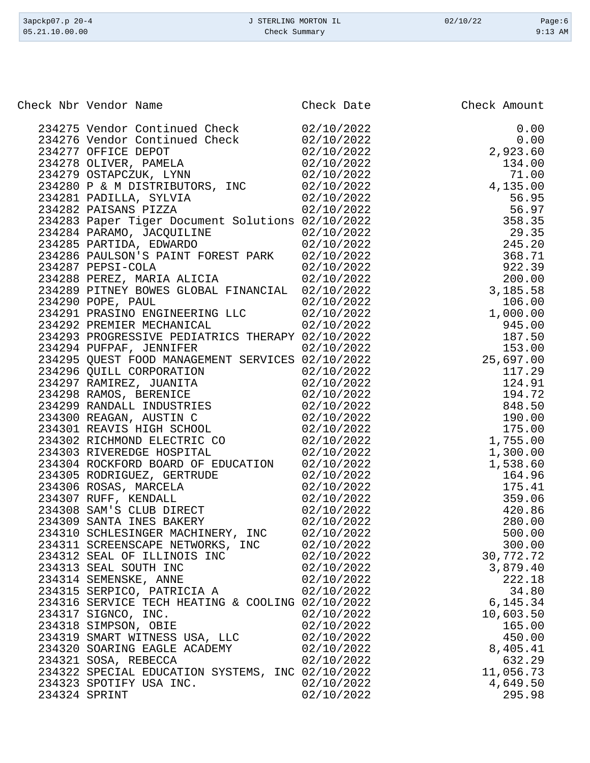| 3apckp07.p 20-4<br>05.21.10.00.00                | J STERLING MORTON IL<br>Check Summary | 02/10/22     | Page:6<br>$9:13$ AM |
|--------------------------------------------------|---------------------------------------|--------------|---------------------|
|                                                  |                                       |              |                     |
| Check Nbr Vendor Name                            | Check Date                            | Check Amount |                     |
| 234275 Vendor Continued Check                    | 02/10/2022                            |              | 0.00                |
| 234276 Vendor Continued Check                    | 02/10/2022                            |              | 0.00                |
| 234277 OFFICE DEPOT                              | 02/10/2022                            | 2,923.60     |                     |
| 234278 OLIVER, PAMELA                            | 02/10/2022                            |              | 134.00              |
| 234279 OSTAPCZUK, LYNN                           | 02/10/2022                            |              | 71.00               |
| 234280 P & M DISTRIBUTORS, INC                   | 02/10/2022                            | 4,135.00     |                     |
| 234281 PADILLA, SYLVIA                           | 02/10/2022                            |              | 56.95               |
| 234282 PAISANS PIZZA                             | 02/10/2022                            |              | 56.97               |
| 234283 Paper Tiger Document Solutions 02/10/2022 |                                       |              | 358.35              |
| 234284 PARAMO, JACQUILINE                        | 02/10/2022                            |              | 29.35               |
| 234285 PARTIDA, EDWARDO                          | 02/10/2022                            |              | 245.20              |
| 234286 PAULSON'S PAINT FOREST PARK 02/10/2022    |                                       |              | 368.71              |
| 234287 PEPSI-COLA                                | 02/10/2022                            |              | 922.39              |
| 234288 PEREZ, MARIA ALICIA                       | 02/10/2022                            |              | 200.00              |
| 234289 PITNEY BOWES GLOBAL FINANCIAL 02/10/2022  |                                       | 3,185.58     |                     |
| 234290 POPE, PAUL                                | 02/10/2022                            |              | 106.00              |
| 234291 PRASINO ENGINEERING LLC                   | 02/10/2022                            | 1,000.00     |                     |
| 234292 PREMIER MECHANICAL                        | 02/10/2022                            |              | 945.00              |
| 234293 PROGRESSIVE PEDIATRICS THERAPY 02/10/2022 |                                       |              | 187.50              |
| 234294 PUFPAF, JENNIFER                          | 02/10/2022                            |              | 153.00              |
| 234295 QUEST FOOD MANAGEMENT SERVICES 02/10/2022 |                                       | 25,697.00    |                     |
| 234296 QUILL CORPORATION                         | 02/10/2022                            |              | 117.29              |
| 234297 RAMIREZ, JUANITA                          | 02/10/2022                            |              | 124.91              |
| 234298 RAMOS, BERENICE                           | 02/10/2022                            |              | 194.72              |
| 234299 RANDALL INDUSTRIES                        | 02/10/2022                            |              | 848.50              |
| 234300 REAGAN, AUSTIN C                          | 02/10/2022                            |              | 190.00              |
| 234301 REAVIS HIGH SCHOOL                        | 02/10/2022                            |              | 175.00              |
| 234302 RICHMOND ELECTRIC CO                      | 02/10/2022                            | 1,755.00     |                     |
| 234303 RIVEREDGE HOSPITAL                        | 02/10/2022                            | 1,300.00     |                     |
| 234304 ROCKFORD BOARD OF EDUCATION 02/10/2022    |                                       | 1,538.60     |                     |
| 234305 RODRIGUEZ, GERTRUDE                       | 02/10/2022                            |              | 164.96              |
| 234306 ROSAS, MARCELA                            | 02/10/2022                            |              | 175.41              |
| 234307 RUFF, KENDALL                             | 02/10/2022                            |              | 359.06              |
| 234308 SAM'S CLUB DIRECT                         | 02/10/2022                            |              | 420.86              |
| 234309 SANTA INES BAKERY                         | 02/10/2022                            |              | 280.00              |
| 234310 SCHLESINGER MACHINERY, INC 02/10/2022     |                                       |              | 500.00              |
| 234311 SCREENSCAPE NETWORKS, INC 02/10/2022      |                                       |              | 300.00              |
| 234312 SEAL OF ILLINOIS INC                      | 02/10/2022                            | 30,772.72    |                     |
| 234313 SEAL SOUTH INC                            | 02/10/2022                            | 3,879.40     |                     |
| 234314 SEMENSKE, ANNE                            | 02/10/2022                            |              | 222.18              |
| 234315 SERPICO, PATRICIA A                       | 02/10/2022                            |              | 34.80               |
| 234316 SERVICE TECH HEATING & COOLING 02/10/2022 |                                       | 6,145.34     |                     |
| 234317 SIGNCO, INC.                              | 02/10/2022                            | 10,603.50    |                     |
| 234318 SIMPSON, OBIE                             | 02/10/2022                            |              | 165.00              |
| 234319 SMART WITNESS USA, LLC                    | 02/10/2022                            |              | 450.00              |

234320 SOARING EAGLE ACADEMY  $02/10/2022$  8,405.41<br>234321 SOSA, REBECCA 02/10/2022 632.29

234322 SPECIAL EDUCATION SYSTEMS, INC 02/10/2022 11,056.73<br>234323 SPOTIFY USA INC. 02/10/2022 4,649.50 234323 SPOTIFY USA INC.<br>234324 SPRINT 02/10/2022 295.98

234319 SMART WITNESS USA, LLC 02/10/2022 450.00

234321 SOSA, REBECCA

234324 SPRINT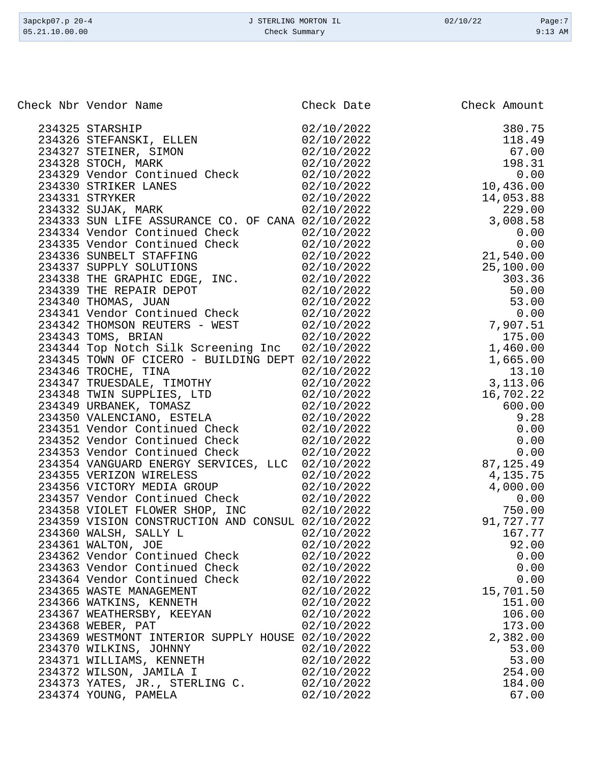| 3apckp07.p 20-4 | J STERLING MORTON IL | 02/10/22 | Page:7    |
|-----------------|----------------------|----------|-----------|
| 05.21.10.00.00  | Check Summary        |          | $9:13$ AM |

| Check Nbr Vendor Name                                                                                                                                                                                   | Check Date | Check Amount              |
|---------------------------------------------------------------------------------------------------------------------------------------------------------------------------------------------------------|------------|---------------------------|
|                                                                                                                                                                                                         |            |                           |
| 234325 STARSHIP                                                                                                                                                                                         | 02/10/2022 | 380.75                    |
| 231326 STEFANSKI, ELLEN                                                                                                                                                                                 | 02/10/2022 | 118.49                    |
|                                                                                                                                                                                                         | 02/10/2022 | 67.00                     |
|                                                                                                                                                                                                         | 02/10/2022 | 198.31                    |
|                                                                                                                                                                                                         | 02/10/2022 | 0.00                      |
|                                                                                                                                                                                                         | 02/10/2022 | 10,436.00                 |
|                                                                                                                                                                                                         | 02/10/2022 | 14,053.88                 |
|                                                                                                                                                                                                         | 02/10/2022 | 229.00                    |
| SHARR SIMON<br>234328 STOCH, MARK<br>234329 Vendor Continued Check<br>234330 STRIKER LANES<br>234331 STRYKER<br>34332 SUJAK, MARK<br>34333 SUN LITT<br>234333 SUN LIFE ASSURANCE CO. OF CANA 02/10/2022 |            | 3,008.58                  |
|                                                                                                                                                                                                         | 02/10/2022 | 0.00                      |
| 231333 Vendor Continued Check<br>234335 Vendor Continued Check                                                                                                                                          | 02/10/2022 | 0.00<br>0.00<br>21,540.00 |
| 234336 SUNBELT STAFFING                                                                                                                                                                                 | 02/10/2022 |                           |
| 234337 SUPPLY SOLUTIONS                                                                                                                                                                                 | 02/10/2022 | 25,100.00                 |
| 234338 THE GRAPHIC EDGE, INC.                                                                                                                                                                           | 02/10/2022 | 303.36                    |
| 234339 THE REPAIR DEPOT                                                                                                                                                                                 | 02/10/2022 | 50.00                     |
| 234340 THOMAS, JUAN                                                                                                                                                                                     | 02/10/2022 | 53.00                     |
| 234340 THOMAS, JUAN<br>234341 Vendor Continued Check                                                                                                                                                    | 02/10/2022 | 0.00                      |
| 234342 THOMSON REUTERS - WEST                                                                                                                                                                           | 02/10/2022 | 7,907.51                  |
| 234343 TOMS, BRIAN                                                                                                                                                                                      | 02/10/2022 | 175.00                    |
| 234344 Top Notch Silk Screening Inc 02/10/2022                                                                                                                                                          |            | 1,460.00                  |
| 234345 TOWN OF CICERO - BUILDING DEPT 02/10/2022                                                                                                                                                        |            | 1,665.00                  |
| 234346 TROCHE, TINA                                                                                                                                                                                     | 02/10/2022 | 13.10                     |
| 234340 IRUCHE, IIIVA<br>234347 TRUESDALE, TIMOTHY                                                                                                                                                       | 02/10/2022 | 3,113.06                  |
|                                                                                                                                                                                                         | 02/10/2022 | 16,702.22                 |
| 234348 TWIN SUPPLIES, LTD<br>234349 URBANEK, TOMASZ<br>234350 VALENCIANO, ESTELA<br>234351 Vendor Continued Check                                                                                       | 02/10/2022 | 600.00                    |
|                                                                                                                                                                                                         | 02/10/2022 | 9.28                      |
|                                                                                                                                                                                                         | 02/10/2022 | 0.00                      |
| 234352 Vendor Continued Check                                                                                                                                                                           | 02/10/2022 | 0.00                      |
| 234353 Vendor Continued Check                                                                                                                                                                           | 02/10/2022 | 0.00                      |
| 234354 VANGUARD ENERGY SERVICES, LLC 02/10/2022                                                                                                                                                         |            | 87,125.49                 |
| 234355 VERIZON WIRELESS<br>234356 VICTORY MEDIA GROUP<br>234357 Vendor Continued Check                                                                                                                  | 02/10/2022 | 4,135.75                  |
|                                                                                                                                                                                                         | 02/10/2022 | 4,000.00                  |
|                                                                                                                                                                                                         | 02/10/2022 | 0.00                      |
| 234358 VIOLET FLOWER SHOP, INC                                                                                                                                                                          | 02/10/2022 | 750.00                    |
| 234359 VISION CONSTRUCTION AND CONSUL 02/10/2022                                                                                                                                                        |            | 91,727.77                 |
| 234360 WALSH, SALLY L                                                                                                                                                                                   | 02/10/2022 | 167.77                    |
| 234361 WALTON, JOE                                                                                                                                                                                      | 02/10/2022 | 92.00                     |
| 234362 Vendor Continued Check                                                                                                                                                                           | 02/10/2022 | 0.00                      |
| 234363 Vendor Continued Check                                                                                                                                                                           | 02/10/2022 | 0.00                      |
| 234364 Vendor Continued Check                                                                                                                                                                           | 02/10/2022 | 0.00                      |
| 234365 WASTE MANAGEMENT                                                                                                                                                                                 | 02/10/2022 | 15,701.50                 |
| 234366 WATKINS, KENNETH                                                                                                                                                                                 | 02/10/2022 | 151.00                    |
| 234367 WEATHERSBY, KEEYAN                                                                                                                                                                               | 02/10/2022 | 106.00                    |
| 234368 WEBER, PAT                                                                                                                                                                                       | 02/10/2022 | 173.00                    |
| 234369 WESTMONT INTERIOR SUPPLY HOUSE 02/10/2022                                                                                                                                                        |            | 2,382.00                  |
| 234370 WILKINS, JOHNNY                                                                                                                                                                                  | 02/10/2022 | 53.00                     |
| 234371 WILLIAMS, KENNETH                                                                                                                                                                                | 02/10/2022 | 53.00                     |
| 234372 WILSON, JAMILA I                                                                                                                                                                                 | 02/10/2022 | 254.00                    |
| 234373 YATES, JR., STERLING C.                                                                                                                                                                          | 02/10/2022 | 184.00                    |
| 234374 YOUNG, PAMELA                                                                                                                                                                                    | 02/10/2022 | 67.00                     |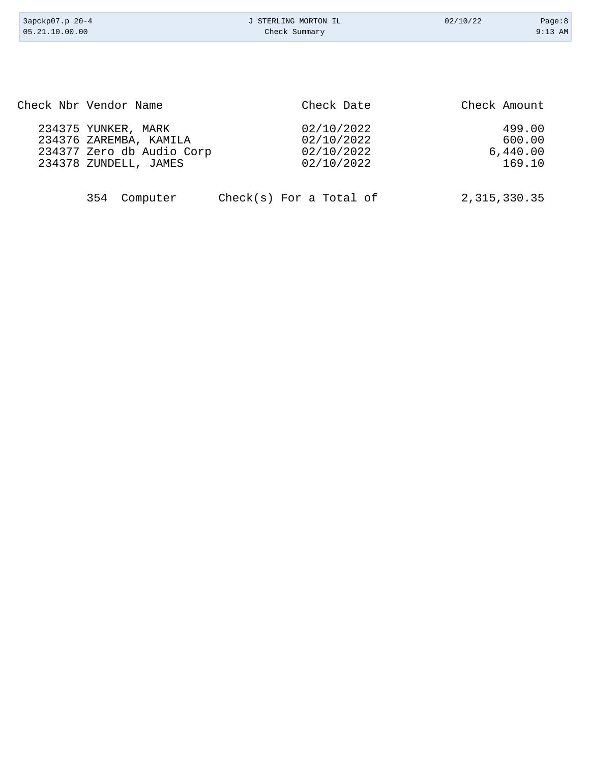| 3apckp07.p 20-4 | J STERLING MORTON IL | 02/10/22 | Page:8    |
|-----------------|----------------------|----------|-----------|
| 05.21.10.00.00  | Check Summary        |          | $9:13$ AM |
|                 |                      |          |           |

| Check Nbr Vendor Name     | Check Date | Check Amount |
|---------------------------|------------|--------------|
| 234375 YUNKER, MARK       | 02/10/2022 | 499.00       |
| 234376 ZAREMBA, KAMILA    | 02/10/2022 | 600.00       |
| 234377 Zero db Audio Corp | 02/10/2022 | 6,440.00     |
| 234378 ZUNDELL, JAMES     | 02/10/2022 | 169.10       |
|                           |            |              |
|                           |            |              |

|  | 354 Computer |  |  | $Check(s)$ For a Total of | 2,315,330.35 |
|--|--------------|--|--|---------------------------|--------------|
|--|--------------|--|--|---------------------------|--------------|